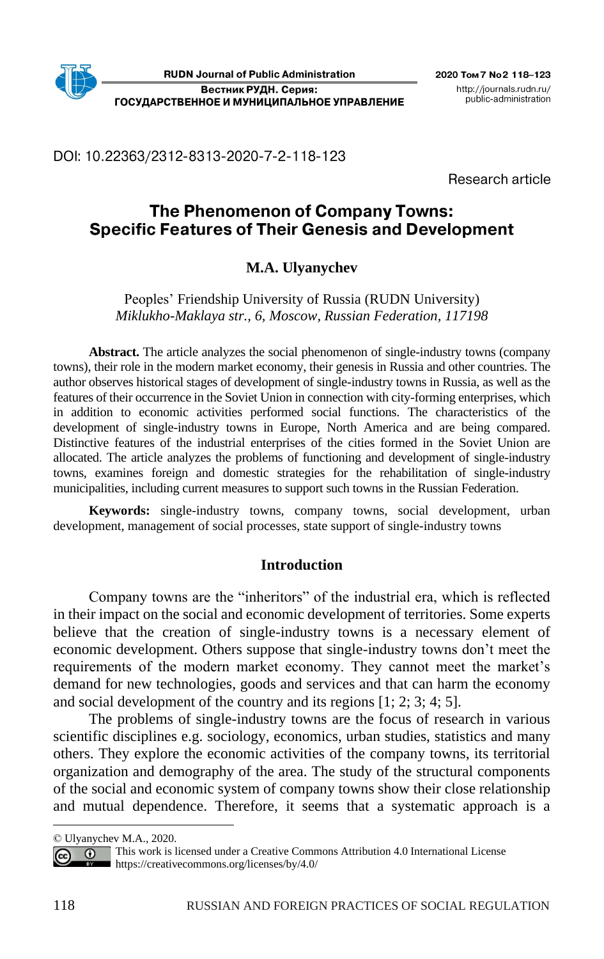DOI: 10.22363/2312-8313-2020-7-2-118-123

Research article

# The Phenomenon of Company Towns: **Specific Features of Their Genesis and Development**

# **M.A. Ulyanychev**

Peoples' Friendship University of Russia (RUDN University) *Miklukho-Maklaya str., 6, Moscow, Russian Federation, 117198*

**Abstract.** The article analyzes the social phenomenon of single-industry towns (company towns), their role in the modern market economy, their genesis in Russia and other countries. The author observes historical stages of development of single-industry towns in Russia, as well as the features of their occurrence in the Soviet Union in connection with city-forming enterprises, which in addition to economic activities performed social functions. The characteristics of the development of single-industry towns in Europe, North America and are being compared. Distinctive features of the industrial enterprises of the cities formed in the Soviet Union are allocated. The article analyzes the problems of functioning and development of single-industry towns, examines foreign and domestic strategies for the rehabilitation of single-industry municipalities, including current measures to support such towns in the Russian Federation.

**Keywords:** single-industry towns, company towns, social development, urban development, management of social processes, state support of single-industry towns

### **Introduction**

Company towns are the "inheritors" of the industrial era, which is reflected in their impact on the social and economic development of territories. Some experts believe that the creation of single-industry towns is a necessary element of economic development. Others suppose that single-industry towns don't meet the requirements of the modern market economy. They cannot meet the market's demand for new technologies, goods and services and that can harm the economy and social development of the country and its regions [1; 2; 3; 4; 5].

The problems of single-industry towns are the focus of research in various scientific disciplines e.g. sociology, economics, urban studies, statistics and many others. They explore the economic activities of the company towns, its territorial organization and demography of the area. The study of the structural components of the social and economic system of company towns show their close relationship and mutual dependence. Therefore, it seems that a systematic approach is a

<sup>©</sup> Ulyanychev M.A., 2020.

This work is licensed under a Creative Commons Attribution 4.0 International License  $\overline{a}$  $(c<sub>c</sub>)$ <https://creativecommons.org/licenses/by/4.0/>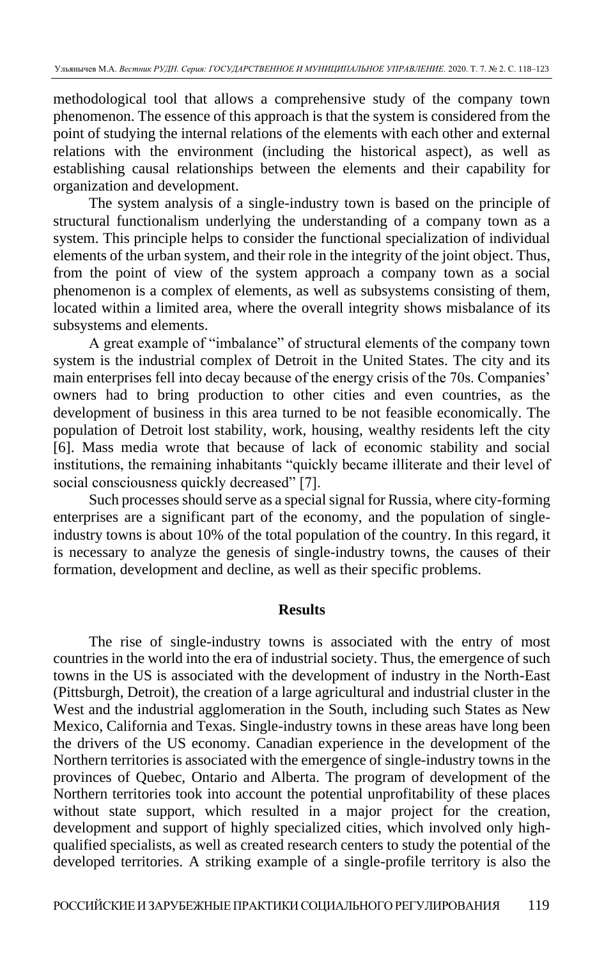methodological tool that allows a comprehensive study of the company town phenomenon. The essence of this approach is that the system is considered from the point of studying the internal relations of the elements with each other and external relations with the environment (including the historical aspect), as well as establishing causal relationships between the elements and their capability for organization and development.

The system analysis of a single-industry town is based on the principle of structural functionalism underlying the understanding of a company town as a system. This principle helps to consider the functional specialization of individual elements of the urban system, and their role in the integrity of the joint object. Thus, from the point of view of the system approach a company town as a social phenomenon is a complex of elements, as well as subsystems consisting of them, located within a limited area, where the overall integrity shows misbalance of its subsystems and elements.

A great example of "imbalance" of structural elements of the company town system is the industrial complex of Detroit in the United States. The city and its main enterprises fell into decay because of the energy crisis of the 70s. Companies' owners had to bring production to other cities and even countries, as the development of business in this area turned to be not feasible economically. The population of Detroit lost stability, work, housing, wealthy residents left the city [6]. Mass media wrote that because of lack of economic stability and social institutions, the remaining inhabitants "quickly became illiterate and their level of social consciousness quickly decreased" [7].

Such processes should serve as a special signal for Russia, where city-forming enterprises are a significant part of the economy, and the population of singleindustry towns is about 10% of the total population of the country. In this regard, it is necessary to analyze the genesis of single-industry towns, the causes of their formation, development and decline, as well as their specific problems.

### **Results**

The rise of single-industry towns is associated with the entry of most countries in the world into the era of industrial society. Thus, the emergence of such towns in the US is associated with the development of industry in the North-East (Pittsburgh, Detroit), the creation of a large agricultural and industrial cluster in the West and the industrial agglomeration in the South, including such States as New Mexico, California and Texas. Single-industry towns in these areas have long been the drivers of the US economy. Canadian experience in the development of the Northern territories is associated with the emergence of single-industry towns in the provinces of Quebec, Ontario and Alberta. The program of development of the Northern territories took into account the potential unprofitability of these places without state support, which resulted in a major project for the creation, development and support of highly specialized cities, which involved only highqualified specialists, as well as created research centers to study the potential of the developed territories. A striking example of a single-profile territory is also the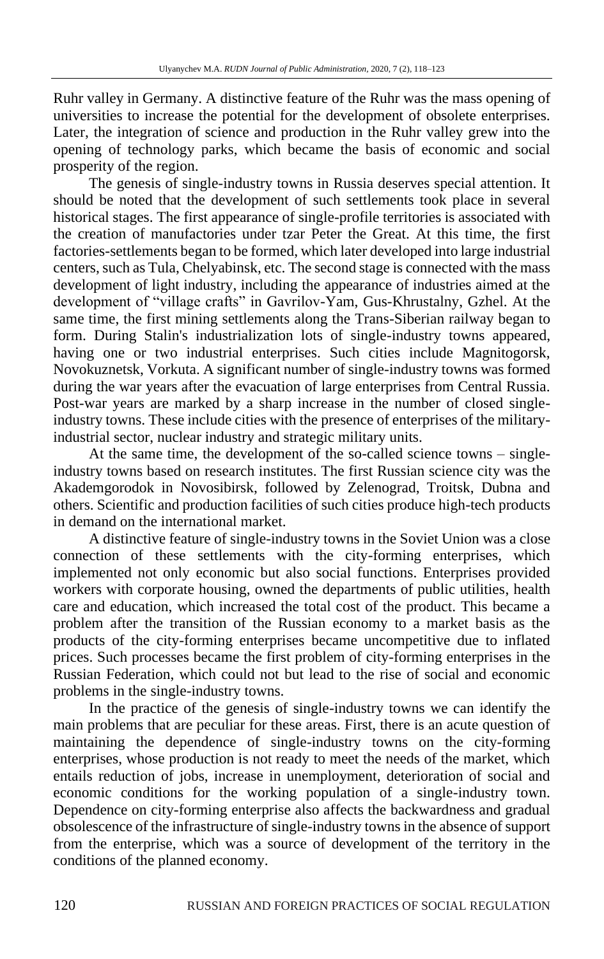Ruhr valley in Germany. A distinctive feature of the Ruhr was the mass opening of universities to increase the potential for the development of obsolete enterprises. Later, the integration of science and production in the Ruhr valley grew into the opening of technology parks, which became the basis of economic and social prosperity of the region.

The genesis of single-industry towns in Russia deserves special attention. It should be noted that the development of such settlements took place in several historical stages. The first appearance of single-profile territories is associated with the creation of manufactories under tzar Peter the Great. At this time, the first factories-settlements began to be formed, which later developed into large industrial centers, such as Tula, Chelyabinsk, etc. The second stage is connected with the mass development of light industry, including the appearance of industries aimed at the development of "village crafts" in Gavrilov-Yam, Gus-Khrustalny, Gzhel. At the same time, the first mining settlements along the Trans-Siberian railway began to form. During Stalin's industrialization lots of single-industry towns appeared, having one or two industrial enterprises. Such cities include Magnitogorsk, Novokuznetsk, Vorkuta. A significant number of single-industry towns was formed during the war years after the evacuation of large enterprises from Central Russia. Post-war years are marked by a sharp increase in the number of closed singleindustry towns. These include cities with the presence of enterprises of the militaryindustrial sector, nuclear industry and strategic military units.

At the same time, the development of the so-called science towns – singleindustry towns based on research institutes. The first Russian science city was the Akademgorodok in Novosibirsk, followed by Zelenograd, Troitsk, Dubna and others. Scientific and production facilities of such cities produce high-tech products in demand on the international market.

A distinctive feature of single-industry towns in the Soviet Union was a close connection of these settlements with the city-forming enterprises, which implemented not only economic but also social functions. Enterprises provided workers with corporate housing, owned the departments of public utilities, health care and education, which increased the total cost of the product. This became a problem after the transition of the Russian economy to a market basis as the products of the city-forming enterprises became uncompetitive due to inflated prices. Such processes became the first problem of city-forming enterprises in the Russian Federation, which could not but lead to the rise of social and economic problems in the single-industry towns.

In the practice of the genesis of single-industry towns we can identify the main problems that are peculiar for these areas. First, there is an acute question of maintaining the dependence of single-industry towns on the city-forming enterprises, whose production is not ready to meet the needs of the market, which entails reduction of jobs, increase in unemployment, deterioration of social and economic conditions for the working population of a single-industry town. Dependence on city-forming enterprise also affects the backwardness and gradual obsolescence of the infrastructure of single-industry towns in the absence of support from the enterprise, which was a source of development of the territory in the conditions of the planned economy.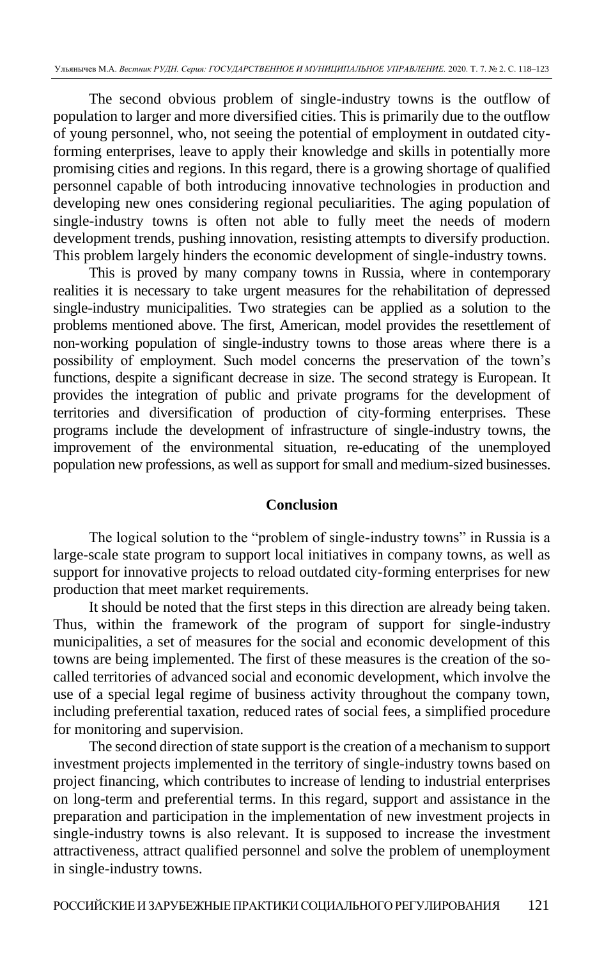The second obvious problem of single-industry towns is the outflow of population to larger and more diversified cities. This is primarily due to the outflow of young personnel, who, not seeing the potential of employment in outdated cityforming enterprises, leave to apply their knowledge and skills in potentially more promising cities and regions. In this regard, there is a growing shortage of qualified personnel capable of both introducing innovative technologies in production and developing new ones considering regional peculiarities. The aging population of single-industry towns is often not able to fully meet the needs of modern development trends, pushing innovation, resisting attempts to diversify production. This problem largely hinders the economic development of single-industry towns.

This is proved by many company towns in Russia, where in contemporary realities it is necessary to take urgent measures for the rehabilitation of depressed single-industry municipalities. Two strategies can be applied as a solution to the problems mentioned above. The first, American, model provides the resettlement of non-working population of single-industry towns to those areas where there is a possibility of employment. Such model concerns the preservation of the town's functions, despite a significant decrease in size. The second strategy is European. It provides the integration of public and private programs for the development of territories and diversification of production of city-forming enterprises. These programs include the development of infrastructure of single-industry towns, the improvement of the environmental situation, re-educating of the unemployed population new professions, as well as support for small and medium-sized businesses.

### **Conclusion**

The logical solution to the "problem of single-industry towns" in Russia is a large-scale state program to support local initiatives in company towns, as well as support for innovative projects to reload outdated city-forming enterprises for new production that meet market requirements.

It should be noted that the first steps in this direction are already being taken. Thus, within the framework of the program of support for single-industry municipalities, a set of measures for the social and economic development of this towns are being implemented. The first of these measures is the creation of the socalled territories of advanced social and economic development, which involve the use of a special legal regime of business activity throughout the company town, including preferential taxation, reduced rates of social fees, a simplified procedure for monitoring and supervision.

The second direction of state support is the creation of a mechanism to support investment projects implemented in the territory of single-industry towns based on project financing, which contributes to increase of lending to industrial enterprises on long-term and preferential terms. In this regard, support and assistance in the preparation and participation in the implementation of new investment projects in single-industry towns is also relevant. It is supposed to increase the investment attractiveness, attract qualified personnel and solve the problem of unemployment in single-industry towns.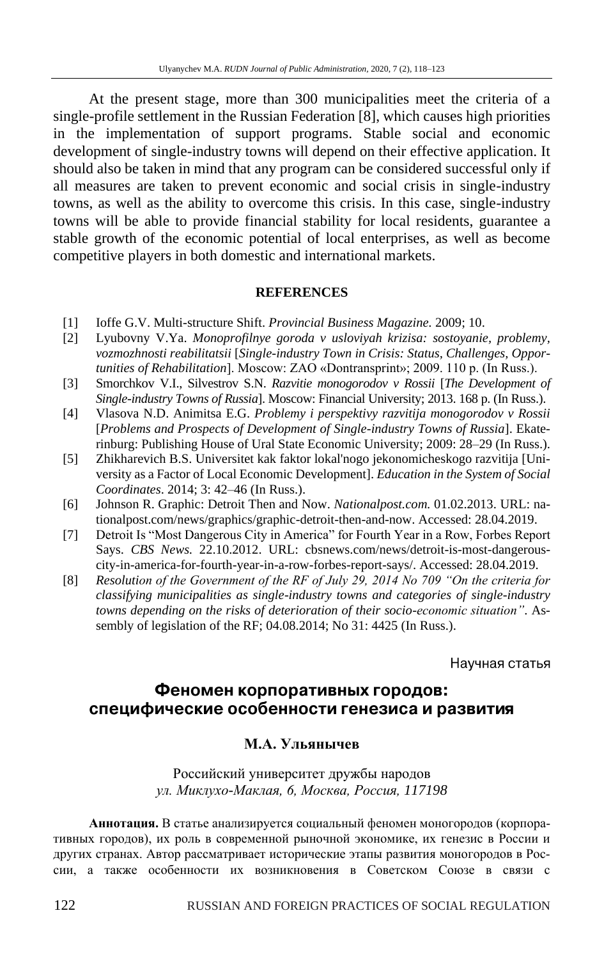At the present stage, more than 300 municipalities meet the criteria of a single-profile settlement in the Russian Federation [8], which causes high priorities in the implementation of support programs. Stable social and economic development of single-industry towns will depend on their effective application. It should also be taken in mind that any program can be considered successful only if all measures are taken to prevent economic and social crisis in single-industry towns, as well as the ability to overcome this crisis. In this case, single-industry towns will be able to provide financial stability for local residents, guarantee a stable growth of the economic potential of local enterprises, as well as become competitive players in both domestic and international markets.

#### **REFERENCES**

- [1] Ioffe G.V. Multi-structure Shift. *Provincial Business Magazine.* 2009; 10.
- [2] Lyubovny V.Ya. *Monoprofilnye goroda v usloviyah krizisa: sostoyanie, problemy, vozmozhnosti reabilitatsii* [*Single-industry Town in Crisis: Status, Challenges, Opportunities of Rehabilitation*]. Moscow: ZAO «Dontransprint»; 2009. 110 p. (In Russ.).
- [3] Smorchkov V.I., Silvestrov S.N. *Razvitie monogorodov v Rossii* [*The Development of Single-industry Towns of Russia*]. Moscow: Financial University; 2013. 168 p. (In Russ.).
- [4] Vlasova N.D. Animitsa E.G. *Problemy i perspektivy razvitija monogorodov v Rossii* [*Problems and Prospects of Development of Single-industry Towns of Russia*]. Ekaterinburg: Publishing House of Ural State Economic University; 2009: 28–29 (In Russ.).
- [5] Zhikharevich B.S. Universitet kak faktor lokal'nogo jekonomicheskogo razvitija [University as a Factor of Local Economic Development]. *Education in the System of Social Coordinates*. 2014; 3: 42–46 (In Russ.).
- [6] Johnson R. Graphic: Detroit Then and Now. *Nationalpost.com.* 01.02.2013. URL: nationalpost.com/news/graphics/graphic-detroit-then-and-now. Accessed: 28.04.2019.
- [7] Detroit Is "Most Dangerous City in America" for Fourth Year in a Row, Forbes Report Says. *CBS News.* 22.10.2012. URL: cbsnews.com/news/detroit-is-most-dangerouscity-in-america-for-fourth-year-in-a-row-forbes-report-says/. Accessed: 28.04.2019.
- [8] *Resolution of the Government of the RF of July 29, 2014 No 709 "On the criteria for classifying municipalities as single-industry towns and categories of single-industry towns depending on the risks of deterioration of their socio-economic situation"*. Assembly of legislation of the RF; 04.08.2014; No 31: 4425 (In Russ.).

Научная статья

## Феномен корпоративных городов: специфические особенности генезиса и развития

### **М.А. Ульянычев**

### Российский университет дружбы народов *ул. Миклухо-Маклая, 6, Москва, Россия, 117198*

**Аннотация.** В статье анализируется социальный феномен моногородов (корпоративных городов), их роль в современной рыночной экономике, их генезис в России и других странах. Автор рассматривает исторические этапы развития моногородов в России, а также особенности их возникновения в Советском Союзе в связи с